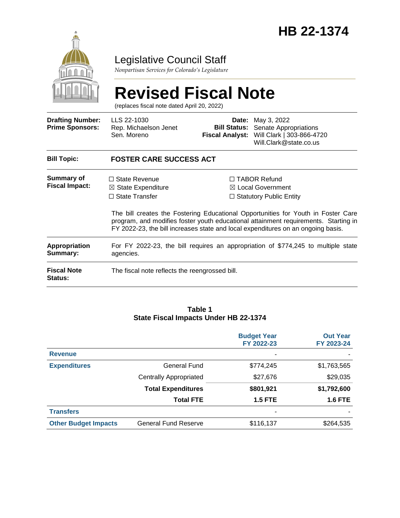

## Legislative Council Staff

*Nonpartisan Services for Colorado's Legislature*

#### **Revised Fiscal Note** (replaces fiscal note dated April 20, 2022) **Drafting Number: Prime Sponsors:** LLS 22-1030 Rep. Michaelson Jenet Sen. Moreno **Date:** May 3, 2022 **Bill Status:** Senate Appropriations **Fiscal Analyst:** Will Clark | 303-866-4720 Will.Clark@state.co.us **Bill Topic: FOSTER CARE SUCCESS ACT Summary of Fiscal Impact:** □ State Revenue ☒ State Expenditure ☐ State Transfer ☐ TABOR Refund ☒ Local Government □ Statutory Public Entity The bill creates the Fostering Educational Opportunities for Youth in Foster Care program, and modifies foster youth educational attainment requirements. Starting in FY 2022-23, the bill increases state and local expenditures on an ongoing basis. **Appropriation Summary:** For FY 2022-23, the bill requires an appropriation of \$774,245 to multiple state agencies. **Fiscal Note Status:** The fiscal note reflects the reengrossed bill.

#### **Table 1 State Fiscal Impacts Under HB 22-1374**

|                             |                               | <b>Budget Year</b><br>FY 2022-23 | <b>Out Year</b><br>FY 2023-24 |
|-----------------------------|-------------------------------|----------------------------------|-------------------------------|
| <b>Revenue</b>              |                               |                                  |                               |
| <b>Expenditures</b>         | General Fund                  | \$774,245                        | \$1,763,565                   |
|                             | <b>Centrally Appropriated</b> | \$27,676                         | \$29,035                      |
|                             | <b>Total Expenditures</b>     | \$801,921                        | \$1,792,600                   |
|                             | <b>Total FTE</b>              | <b>1.5 FTE</b>                   | <b>1.6 FTE</b>                |
| <b>Transfers</b>            |                               |                                  |                               |
| <b>Other Budget Impacts</b> | <b>General Fund Reserve</b>   | \$116,137                        | \$264,535                     |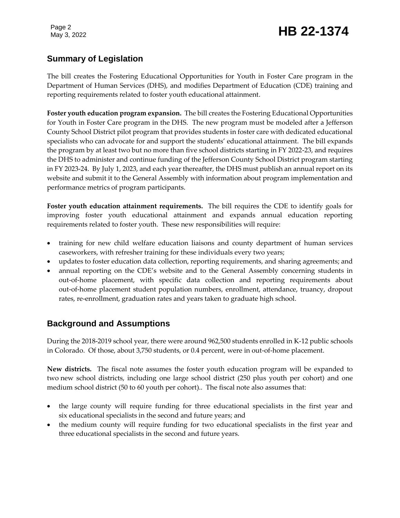# Page 2<br>May 3, 2022 **HB 22-1374**

## **Summary of Legislation**

The bill creates the Fostering Educational Opportunities for Youth in Foster Care program in the Department of Human Services (DHS), and modifies Department of Education (CDE) training and reporting requirements related to foster youth educational attainment.

**Foster youth education program expansion.** The bill creates the Fostering Educational Opportunities for Youth in Foster Care program in the DHS. The new program must be modeled after a Jefferson County School District pilot program that provides students in foster care with dedicated educational specialists who can advocate for and support the students' educational attainment. The bill expands the program by at least two but no more than five school districts starting in FY 2022-23, and requires the DHS to administer and continue funding of the Jefferson County School District program starting in FY 2023-24. By July 1, 2023, and each year thereafter, the DHS must publish an annual report on its website and submit it to the General Assembly with information about program implementation and performance metrics of program participants.

**Foster youth education attainment requirements.** The bill requires the CDE to identify goals for improving foster youth educational attainment and expands annual education reporting requirements related to foster youth. These new responsibilities will require:

- training for new child welfare education liaisons and county department of human services caseworkers, with refresher training for these individuals every two years;
- updates to foster education data collection, reporting requirements, and sharing agreements; and
- annual reporting on the CDE's website and to the General Assembly concerning students in out-of-home placement, with specific data collection and reporting requirements about out-of-home placement student population numbers, enrollment, attendance, truancy, dropout rates, re-enrollment, graduation rates and years taken to graduate high school.

## **Background and Assumptions**

During the 2018-2019 school year, there were around 962,500 students enrolled in K-12 public schools in Colorado. Of those, about 3,750 students, or 0.4 percent, were in out-of-home placement.

**New districts.** The fiscal note assumes the foster youth education program will be expanded to two new school districts, including one large school district (250 plus youth per cohort) and one medium school district (50 to 60 youth per cohort).. The fiscal note also assumes that:

- the large county will require funding for three educational specialists in the first year and six educational specialists in the second and future years; and
- the medium county will require funding for two educational specialists in the first year and three educational specialists in the second and future years.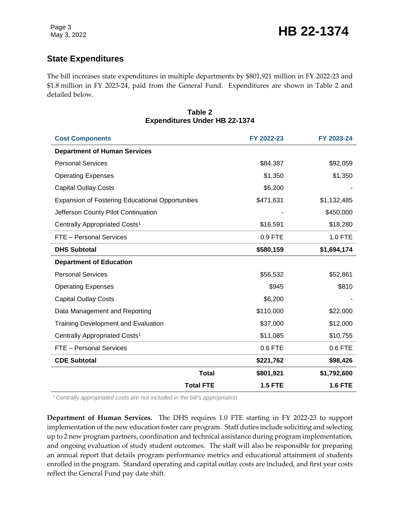## **State Expenditures**

The bill increases state expenditures in multiple departments by \$801,921 million in FY 2022-23 and \$1.8 million in FY 2023-24, paid from the General Fund. Expenditures are shown in Table 2 and detailed below.

#### **Table 2 Expenditures Under HB 22-1374**

| <b>Cost Components</b>                                  |                  | FY 2022-23     | FY 2023-24     |
|---------------------------------------------------------|------------------|----------------|----------------|
| <b>Department of Human Services</b>                     |                  |                |                |
| <b>Personal Services</b>                                |                  | \$84,387       | \$92,059       |
| <b>Operating Expenses</b>                               |                  | \$1,350        | \$1,350        |
| <b>Capital Outlay Costs</b>                             |                  | \$6,200        |                |
| <b>Expansion of Fostering Educational Opportunities</b> |                  | \$471,631      | \$1,132,485    |
| Jefferson County Pilot Continuation                     |                  |                | \$450,000      |
| Centrally Appropriated Costs <sup>1</sup>               |                  | \$16,591       | \$18,280       |
| FTE - Personal Services                                 |                  | 0.9 FTE        | 1.0 FTE        |
| <b>DHS Subtotal</b>                                     |                  | \$580,159      | \$1,694,174    |
| <b>Department of Education</b>                          |                  |                |                |
| <b>Personal Services</b>                                |                  | \$56,532       | \$52,861       |
| <b>Operating Expenses</b>                               |                  | \$945          | \$810          |
| <b>Capital Outlay Costs</b>                             |                  | \$6,200        |                |
| Data Management and Reporting                           |                  | \$110,000      | \$22,000       |
| <b>Training Development and Evaluation</b>              |                  | \$37,000       | \$12,000       |
| Centrally Appropriated Costs <sup>1</sup>               |                  | \$11,085       | \$10,755       |
| FTE - Personal Services                                 |                  | 0.6 FTE        | 0.6 FTE        |
| <b>CDE Subtotal</b>                                     |                  | \$221,762      | \$98,426       |
|                                                         | <b>Total</b>     | \$801,921      | \$1,792,600    |
|                                                         | <b>Total FTE</b> | <b>1.5 FTE</b> | <b>1.6 FTE</b> |

<sup>1</sup>*Centrally appropriated costs are not included in the bill's appropriation.*

**Department of Human Services.** The DHS requires 1.0 FTE starting in FY 2022-23 to support implementation of the new education foster care program. Staff duties include soliciting and selecting up to 2 new program partners, coordination and technical assistance during program implementation, and ongoing evaluation of study student outcomes. The staff will also be responsible for preparing an annual report that details program performance metrics and educational attainment of students enrolled in the program. Standard operating and capital outlay costs are included, and first year costs reflect the General Fund pay date shift.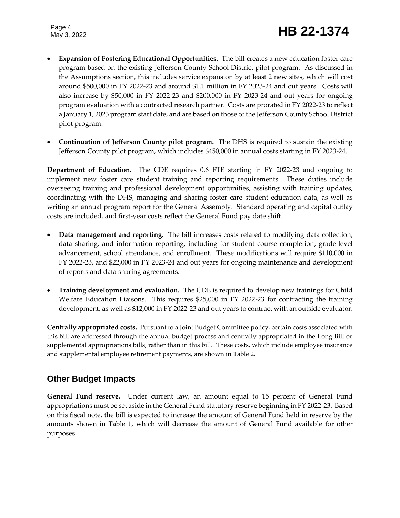Page 4

- **Expansion of Fostering Educational Opportunities.** The bill creates a new education foster care program based on the existing Jefferson County School District pilot program. As discussed in the Assumptions section, this includes service expansion by at least 2 new sites, which will cost around \$500,000 in FY 2022-23 and around \$1.1 million in FY 2023-24 and out years. Costs will also increase by \$50,000 in FY 2022-23 and \$200,000 in FY 2023-24 and out years for ongoing program evaluation with a contracted research partner. Costs are prorated in FY 2022-23 to reflect a January 1, 2023 program start date, and are based on those of the Jefferson County School District pilot program.
- **Continuation of Jefferson County pilot program.** The DHS is required to sustain the existing Jefferson County pilot program, which includes \$450,000 in annual costs starting in FY 2023-24.

**Department of Education.** The CDE requires 0.6 FTE starting in FY 2022-23 and ongoing to implement new foster care student training and reporting requirements. These duties include overseeing training and professional development opportunities, assisting with training updates, coordinating with the DHS, managing and sharing foster care student education data, as well as writing an annual program report for the General Assembly. Standard operating and capital outlay costs are included, and first-year costs reflect the General Fund pay date shift.

- **Data management and reporting.** The bill increases costs related to modifying data collection, data sharing, and information reporting, including for student course completion, grade-level advancement, school attendance, and enrollment. These modifications will require \$110,000 in FY 2022-23, and \$22,000 in FY 2023-24 and out years for ongoing maintenance and development of reports and data sharing agreements.
- **Training development and evaluation.** The CDE is required to develop new trainings for Child Welfare Education Liaisons. This requires \$25,000 in FY 2022-23 for contracting the training development, as well as \$12,000 in FY 2022-23 and out years to contract with an outside evaluator.

**Centrally appropriated costs.** Pursuant to a Joint Budget Committee policy, certain costs associated with this bill are addressed through the annual budget process and centrally appropriated in the Long Bill or supplemental appropriations bills, rather than in this bill. These costs, which include employee insurance and supplemental employee retirement payments, are shown in Table 2.

## **Other Budget Impacts**

**General Fund reserve.** Under current law, an amount equal to 15 percent of General Fund appropriations must be set aside in the General Fund statutory reserve beginning in FY 2022-23. Based on this fiscal note, the bill is expected to increase the amount of General Fund held in reserve by the amounts shown in Table 1, which will decrease the amount of General Fund available for other purposes.